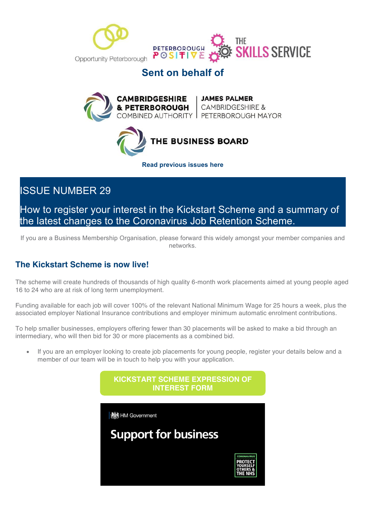



## **Sent on behalf of**





**Read previous issues here**

# ISSUE NUMBER 29

How to register your interest in the Kickstart Scheme and a summary of the latest changes to the Coronavirus Job Retention Scheme.

If you are a Business Membership Organisation, please forward this widely amongst your member companies and networks.

## **The Kickstart Scheme is now live!**

The scheme will create hundreds of thousands of high quality 6-month work placements aimed at young people aged 16 to 24 who are at risk of long term unemployment.

Funding available for each job will cover 100% of the relevant National Minimum Wage for 25 hours a week, plus the associated employer National Insurance contributions and employer minimum automatic enrolment contributions.

To help smaller businesses, employers offering fewer than 30 placements will be asked to make a bid through an intermediary, who will then bid for 30 or more placements as a combined bid.

• If you are an employer looking to create job placements for young people, register your details below and a member of our team will be in touch to help you with your application.